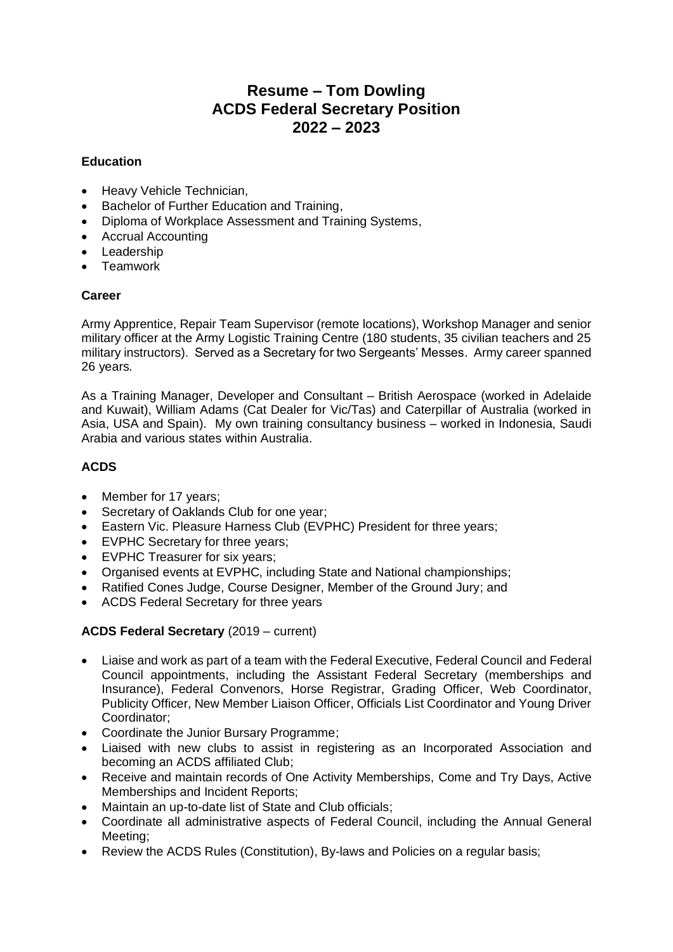# **Resume – Tom Dowling ACDS Federal Secretary Position 2022 – 2023**

#### **Education**

- Heavy Vehicle Technician,
- Bachelor of Further Education and Training,
- Diploma of Workplace Assessment and Training Systems,
- Accrual Accounting
- Leadership
- Teamwork

### **Career**

Army Apprentice, Repair Team Supervisor (remote locations), Workshop Manager and senior military officer at the Army Logistic Training Centre (180 students, 35 civilian teachers and 25 military instructors). Served as a Secretary for two Sergeants' Messes. Army career spanned 26 years.

As a Training Manager, Developer and Consultant – British Aerospace (worked in Adelaide and Kuwait), William Adams (Cat Dealer for Vic/Tas) and Caterpillar of Australia (worked in Asia, USA and Spain). My own training consultancy business – worked in Indonesia, Saudi Arabia and various states within Australia.

## **ACDS**

- Member for 17 years;
- Secretary of Oaklands Club for one year;
- Eastern Vic. Pleasure Harness Club (EVPHC) President for three years;
- EVPHC Secretary for three years;
- EVPHC Treasurer for six years;
- Organised events at EVPHC, including State and National championships;
- Ratified Cones Judge, Course Designer, Member of the Ground Jury; and
- ACDS Federal Secretary for three years

## **ACDS Federal Secretary** (2019 – current)

- Liaise and work as part of a team with the Federal Executive, Federal Council and Federal Council appointments, including the Assistant Federal Secretary (memberships and Insurance), Federal Convenors, Horse Registrar, Grading Officer, Web Coordinator, Publicity Officer, New Member Liaison Officer, Officials List Coordinator and Young Driver Coordinator;
- Coordinate the Junior Bursary Programme;
- Liaised with new clubs to assist in registering as an Incorporated Association and becoming an ACDS affiliated Club;
- Receive and maintain records of One Activity Memberships, Come and Try Days, Active Memberships and Incident Reports;
- Maintain an up-to-date list of State and Club officials;
- Coordinate all administrative aspects of Federal Council, including the Annual General Meeting;
- Review the ACDS Rules (Constitution), By-laws and Policies on a regular basis;